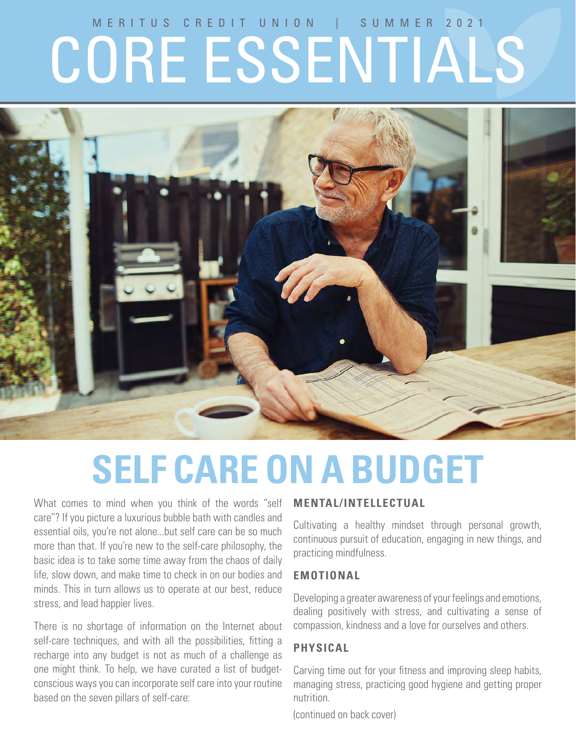# MERITUS CREDIT UNION | SUMMER 2021 CORE ESSENTIALS



# **SELF CARE ON A BUDGET**

What comes to mind when you think of the words "self care"? If you picture a luxurious bubble bath with candles and essential oils, you're not alone...but self care can be so much more than that. If you're new to the self-care philosophy, the basic idea is to take some time away from the chaos of daily life, slow down, and make time to check in on our bodies and minds. This in turn allows us to operate at our best, reduce stress, and lead happier lives.

There is no shortage of information on the Internet about self-care techniques, and with all the possibilities, fitting a recharge into any budget is not as much of a challenge as one might think. To help, we have curated a list of budgetconscious ways you can incorporate self care into your routine based on the seven pillars of self-care:

## **MENTAL/INTELLECTUAL**

Cultivating a healthy mindset through personal growth, continuous pursuit of education, engaging in new things, and practicing mindfulness.

#### **EMOTIONAL**

Developing a greater awareness of your feelings and emotions, dealing positively with stress, and cultivating a sense of compassion, kindness and a love for ourselves and others.

#### **PHYSICAL**

Carving time out for your fitness and improving sleep habits, managing stress, practicing good hygiene and getting proper nutrition.

(continued on back cover)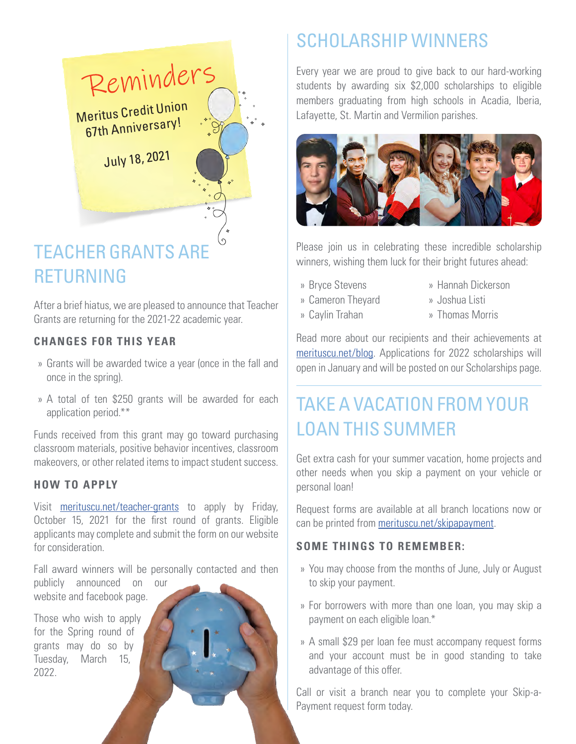

# TEACHER GRANTS ARE RETURNING

After a brief hiatus, we are pleased to announce that Teacher Grants are returning for the 2021-22 academic year.

## **CHANGES FOR THIS YEAR**

- » Grants will be awarded twice a year (once in the fall and once in the spring).
- » A total of ten \$250 grants will be awarded for each application period.\*\*

Funds received from this grant may go toward purchasing classroom materials, positive behavior incentives, classroom makeovers, or other related items to impact student success.

#### **HOW TO APPLY**

Visit merituscu.net/teacher-grants to apply by Friday, October 15, 2021 for the first round of grants. Eligible applicants may complete and submit the form on our website for consideration.

Fall award winners will be personally contacted and then

publicly announced on our website and facebook page.

Those who wish to apply for the Spring round of grants may do so by Tuesday, March 15, 2022.

# SCHOLARSHIP WINNERS

Every year we are proud to give back to our hard-working students by awarding six \$2,000 scholarships to eligible members graduating from high schools in Acadia, Iberia, Lafayette, St. Martin and Vermilion parishes.



Please join us in celebrating these incredible scholarship winners, wishing them luck for their bright futures ahead:

- » Bryce Stevens
- » Cameron Theyard
- » Caylin Trahan
- » Hannah Dickerson
- » Joshua Listi
- » Thomas Morris

Read more about our recipients and their achievements at merituscu.net/blog. Applications for 2022 scholarships will open in January and will be posted on our Scholarships page.

# TAKE A VACATION FROM YOUR LOAN THIS SUMMER

Get extra cash for your summer vacation, home projects and other needs when you skip a payment on your vehicle or personal loan!

Request forms are available at all branch locations now or can be printed from merituscu.net/skipapayment.

### **SOME THINGS TO REMEMBER:**

- » You may choose from the months of June, July or August to skip your payment.
- » For borrowers with more than one loan, you may skip a payment on each eligible loan.\*
- » A small \$29 per loan fee must accompany request forms and your account must be in good standing to take advantage of this offer.

Call or visit a branch near you to complete your Skip-a-Payment request form today.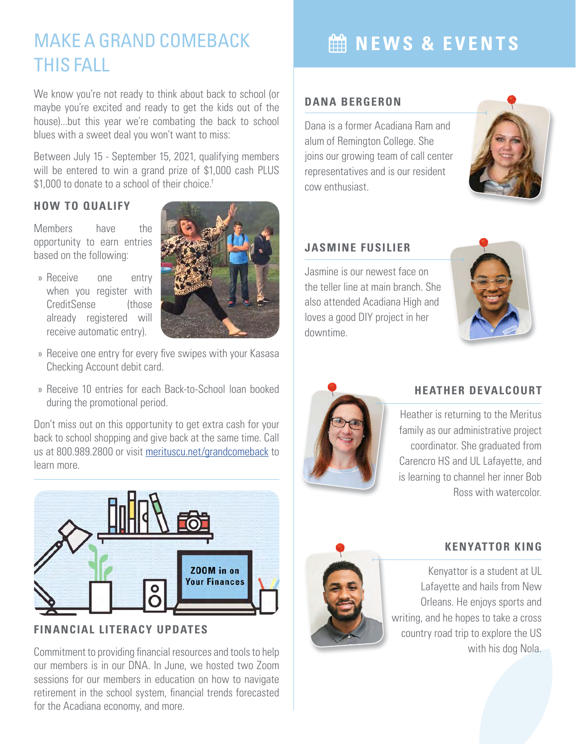# MAKE A GRAND COMEBACK THIS FALL

We know you're not ready to think about back to school (or maybe you're excited and ready to get the kids out of the house)...but this year we're combating the back to school blues with a sweet deal you won't want to miss:

Between July 15 - September 15, 2021, qualifying members will be entered to win a grand prize of \$1,000 cash PLUS \$1,000 to donate to a school of their choice.<sup>†</sup>

#### **HOW TO QUALIFY**

Members have the opportunity to earn entries based on the following:

» Receive one entry when you register with CreditSense (those already registered will receive automatic entry).



- » Receive one entry for every five swipes with your Kasasa Checking Account debit card.
- » Receive 10 entries for each Back-to-School loan booked during the promotional period.

Don't miss out on this opportunity to get extra cash for your back to school shopping and give back at the same time. Call us at 800.989.2800 or visit merituscu.net/grandcomeback to learn more.



**FINANCIAL LITERACY UPDATES**

Commitment to providing financial resources and tools to help our members is in our DNA. In June, we hosted two Zoom sessions for our members in education on how to navigate retirement in the school system, financial trends forecasted for the Acadiana economy, and more.

# **MEWS & EVENTS**

#### **DANA BERGERON**

Dana is a former Acadiana Ram and alum of Remington College. She joins our growing team of call center representatives and is our resident cow enthusiast.



## **JASMINE FUSILIER**

Jasmine is our newest face on the teller line at main branch. She also attended Acadiana High and loves a good DIY project in her downtime.





### **HEATHER DEVALCOURT**

Heather is returning to the Meritus family as our administrative project coordinator. She graduated from Carencro HS and UL Lafayette, and is learning to channel her inner Bob Ross with watercolor.



#### **KENYATTOR KING**

Kenyattor is a student at UL Lafayette and hails from New Orleans. He enjoys sports and writing, and he hopes to take a cross country road trip to explore the US with his dog Nola.